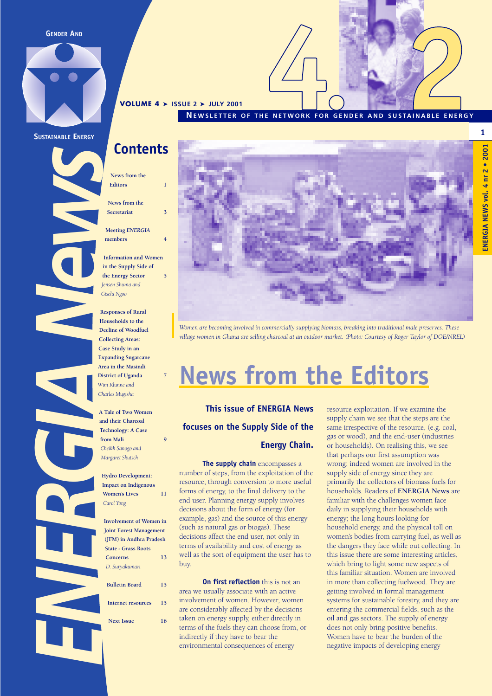**GENDER AND**



**SUSTAINABLE ENERGY**

### **Contents**

**VOLUME 4** ➤ **ISSUE 2** ➤ **JULY 2001**

**News from the Editors 1**

**News from the Secretariat** 

**Meeting** *ENERGIA* **members 4**

**Information and Women in the Supply Side of the Energy Sector 5** *Jensen Shuma and Gisela Ngoo*

ENERGIA NEWS **Responses of Rural Households to the Decline of Woodfuel Collecting Areas: Case Study in an Expanding Sugarcane Area in the Masindi District of Uganda 7** *Wim Klunne and Charles Mugisha*

**A Tale of Two Women and their Charcoal Technology: A Case from Mali 9** *Cheikh Sanogo and Margaret Skutsch*

**Hydro Development: Impact on Indigenous Women's Lives 11**  *Carol Yong*

**Involvement of Women in Joint Forest Management (JFM) in Andhra Pradesh State - Grass Roots Concerns 13** *D. Suryakumari* **Bulletin Board 15 Internet resources 15 Next Issue 16**



**NEWSLETTER OF THE NETWORK FOR GENDER AND SUSTAINABLE ENERGY**

*Women are becoming involved in commercially supplying biomass, breaking into traditional male preserves. These village women in Ghana are selling charcoal at an outdoor market. (Photo: Courtesy of Roger Taylor of DOE/NREL)*

## **News from the Editors**

**This issue of ENERGIA News focuses on the Supply Side of the**

#### **Energy Chain.**

**The supply chain** encompasses a number of steps, from the exploitation of the resource, through conversion to more useful forms of energy, to the final delivery to the end user. Planning energy supply involves decisions about the form of energy (for example, gas) and the source of this energy (such as natural gas or biogas). These decisions affect the end user, not only in terms of availability and cost of energy as well as the sort of equipment the user has to buy.

**On first reflection** this is not an area we usually associate with an active involvement of women. However, women are considerably affected by the decisions taken on energy supply, either directly in terms of the fuels they can choose from, or indirectly if they have to bear the environmental consequences of energy

resource exploitation. If we examine the supply chain we see that the steps are the same irrespective of the resource, (e.g. coal, gas or wood), and the end-user (industries or households). On realising this, we see that perhaps our first assumption was wrong; indeed women are involved in the supply side of energy since they are primarily the collectors of biomass fuels for households. Readers of **ENERGIA News** are familiar with the challenges women face daily in supplying their households with energy; the long hours looking for household energy, and the physical toll on women's bodies from carrying fuel, as well as the dangers they face while out collecting. In this issue there are some interesting articles, which bring to light some new aspects of this familiar situation. Women are involved in more than collecting fuelwood. They are getting involved in formal management systems for sustainable forestry, and they are entering the commercial fields, such as the oil and gas sectors. The supply of energy does not only bring positive benefits. Women have to bear the burden of the negative impacts of developing energy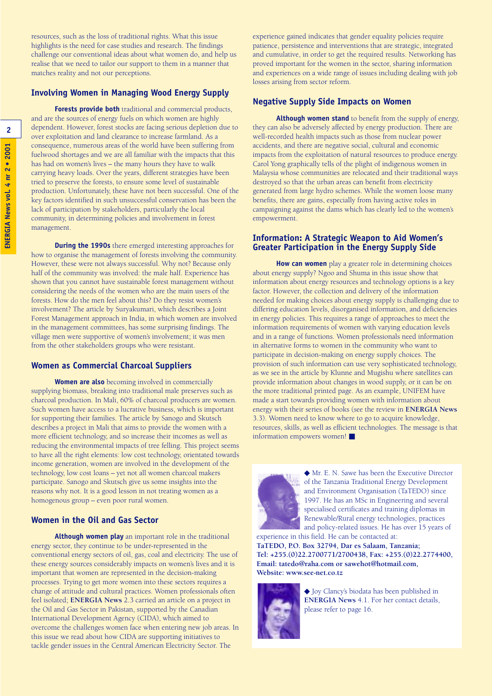resources, such as the loss of traditional rights. What this issue highlights is the need for case studies and research. The findings challenge our conventional ideas about what women do, and help us realise that we need to tailor our support to them in a manner that matches reality and not our perceptions.

#### **Involving Women in Managing Wood Energy Supply**

**Forests provide both** traditional and commercial products, and are the sources of energy fuels on which women are highly dependent. However, forest stocks are facing serious depletion due to over exploitation and land clearance to increase farmland. As a consequence, numerous areas of the world have been suffering from fuelwood shortages and we are all familiar with the impacts that this has had on women's lives – the many hours they have to walk carrying heavy loads. Over the years, different strategies have been tried to preserve the forests, to ensure some level of sustainable production. Unfortunately, these have not been successful. One of the key factors identified in such unsuccessful conservation has been the lack of participation by stakeholders, particularly the local community, in determining policies and involvement in forest management.

**During the 1990s** there emerged interesting approaches for how to organise the management of forests involving the community. However, these were not always successful. Why not? Because only half of the community was involved: the male half. Experience has shown that you cannot have sustainable forest management without considering the needs of the women who are the main users of the forests. How do the men feel about this? Do they resist women's involvement? The article by Suryakumari, which describes a Joint Forest Management approach in India, in which women are involved in the management committees, has some surprising findings. The village men were supportive of women's involvement; it was men from the other stakeholders groups who were resistant.

#### **Women as Commercial Charcoal Suppliers**

**Women are also** becoming involved in commercially supplying biomass, breaking into traditional male preserves such as charcoal production. In Mali, 60% of charcoal producers are women. Such women have access to a lucrative business, which is important for supporting their families. The article by Sanogo and Skutsch describes a project in Mali that aims to provide the women with a more efficient technology, and so increase their incomes as well as reducing the environmental impacts of tree felling. This project seems to have all the right elements: low cost technology, orientated towards income generation, women are involved in the development of the technology, low cost loans – yet not all women charcoal makers participate. Sanogo and Skutsch give us some insights into the reasons why not. It is a good lesson in not treating women as a homogenous group – even poor rural women.

#### **Women in the Oil and Gas Sector**

**Although women play** an important role in the traditional energy sector, they continue to be under-represented in the conventional energy sectors of oil, gas, coal and electricity. The use of these energy sources considerably impacts on women's lives and it is important that women are represented in the decision-making processes. Trying to get more women into these sectors requires a change of attitude and cultural practices. Women professionals often feel isolated; **ENERGIA News** 2.3 carried an article on a project in the Oil and Gas Sector in Pakistan, supported by the Canadian International Development Agency (CIDA), which aimed to overcome the challenges women face when entering new job areas. In this issue we read about how CIDA are supporting initiatives to tackle gender issues in the Central American Electricity Sector. The

experience gained indicates that gender equality policies require patience, persistence and interventions that are strategic, integrated and cumulative, in order to get the required results. Networking has proved important for the women in the sector, sharing information and experiences on a wide range of issues including dealing with job losses arising from sector reform.

#### **Negative Supply Side Impacts on Women**

**Although women stand** to benefit from the supply of energy, they can also be adversely affected by energy production. There are well-recorded health impacts such as those from nuclear power accidents, and there are negative social, cultural and economic impacts from the exploitation of natural resources to produce energy. Carol Yong graphically tells of the plight of indigenous women in Malaysia whose communities are relocated and their traditional ways destroyed so that the urban areas can benefit from electricity generated from large hydro schemes. While the women loose many benefits, there are gains, especially from having active roles in campaigning against the dams which has clearly led to the women's empowerment.

#### **Information: A Strategic Weapon to Aid Women's Greater Participation in the Energy Supply Side**

**How can women** play a greater role in determining choices about energy supply? Ngoo and Shuma in this issue show that information about energy resources and technology options is a key factor. However, the collection and delivery of the information needed for making choices about energy supply is challenging due to differing education levels, disorganised information, and deficiencies in energy policies. This requires a range of approaches to meet the information requirements of women with varying education levels and in a range of functions. Women professionals need information in alternative forms to women in the community who want to participate in decision-making on energy supply choices. The provision of such information can use very sophisticated technology, as we see in the article by Klunne and Mugishu where satellites can provide information about changes in wood supply, or it can be on the more traditional printed page. As an example, UNIFEM have made a start towards providing women with information about energy with their series of books (see the review in **ENERGIA News** 3.3). Women need to know where to go to acquire knowledge, resources, skills, as well as efficient technologies. The message is that information empowers women! ■



◆ Mr. E. N. Sawe has been the Executive Director of the Tanzania Traditional Energy Development and Environment Organisation (TaTEDO) since 1997. He has an MSc in Engineering and several specialised certificates and training diplomas in Renewable/Rural energy technologies, practices and policy-related issues. He has over 15 years of

experience in this field. He can be contacted at: **TaTEDO, P.O. Box 32794, Dar es Salaam, Tanzania; Tel: +255.(0)22.2700771/2700438, Fax: +255.(0)22.2774400, Email: tatedo@raha.com or sawehot@hotmail.com, Website: www.see-net.co.tz**



◆ Joy Clancy's biodata has been published in **ENERGIA News** 4.1. For her contact details, please refer to page 16.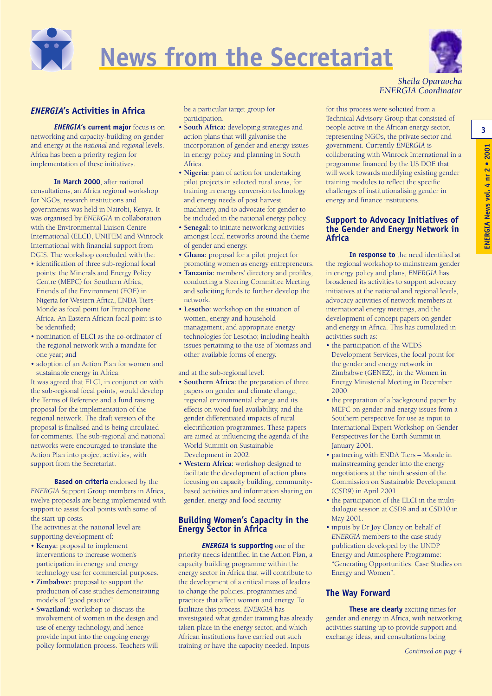

# **News from the Secretariat**



#### *Sheila Oparaocha ENERGIA Coordinator*

#### *ENERGIA***'s Activities in Africa**

*ENERGIA***'s current major** focus is on networking and capacity-building on gender and energy at the *national* and *regional* levels. Africa has been a priority region for implementation of these initiatives.

**In March 2000**, after national consultations, an Africa regional workshop for NGOs, research institutions and governments was held in Nairobi, Kenya. It was organised by *ENERGIA* in collaboration with the Environmental Liaison Centre International (ELCI), UNIFEM and Winrock International with financial support from DGIS. The workshop concluded with the:

- identification of three sub-regional focal points: the Minerals and Energy Policy Centre (MEPC) for Southern Africa, Friends of the Environment (FOE) in Nigeria for Western Africa, ENDA Tiers-Monde as focal point for Francophone Africa. An Eastern African focal point is to be identified;
- nomination of ELCI as the co-ordinator of the regional network with a mandate for one year; and
- adoption of an Action Plan for women and sustainable energy in Africa.

It was agreed that ELCI, in conjunction with the sub-regional focal points, would develop the Terms of Reference and a fund raising proposal for the implementation of the regional network. The draft version of the proposal is finalised and is being circulated for comments. The sub-regional and national networks were encouraged to translate the Action Plan into project activities, with support from the Secretariat.

**Based on criteria** endorsed by the *ENERGIA* Support Group members in Africa, twelve proposals are being implemented with support to assist focal points with some of the start-up costs.

The activities at the national level are supporting development of:

- **Kenya:** proposal to implement interventions to increase women's participation in energy and energy technology use for commercial purposes.
- **Zimbabwe:** proposal to support the production of case studies demonstrating models of "good practice".
- **Swaziland:** workshop to discuss the involvement of women in the design and use of energy technology, and hence provide input into the ongoing energy policy formulation process. Teachers will

be a particular target group for participation.

- **South Africa:** developing strategies and action plans that will galvanise the incorporation of gender and energy issues in energy policy and planning in South Africa.
- **Nigeria:** plan of action for undertaking pilot projects in selected rural areas, for training in energy conversion technology and energy needs of post harvest machinery, and to advocate for gender to be included in the national energy policy.
- **Senegal:** to initiate networking activities amongst local networks around the theme of gender and energy.
- **Ghana:** proposal for a pilot project for promoting women as energy entrepreneurs.
- **Tanzania:** members' directory and profiles, conducting a Steering Committee Meeting and soliciting funds to further develop the network.
- **Lesotho:** workshop on the situation of women, energy and household management; and appropriate energy technologies for Lesotho; including health issues pertaining to the use of biomass and other available forms of energy.

and at the sub-regional level:

- **Southern Africa:** the preparation of three papers on gender and climate change, regional environmental change and its effects on wood fuel availability, and the gender differentiated impacts of rural electrification programmes. These papers are aimed at influencing the agenda of the World Summit on Sustainable Development in 2002.
- **Western Africa:** workshop designed to facilitate the development of action plans focusing on capacity building, communitybased activities and information sharing on gender, energy and food security.

#### **Building Women's Capacity in the Energy Sector in Africa**

*ENERGIA* **is supporting** one of the priority needs identified in the Action Plan, a capacity building programme within the energy sector in Africa that will contribute to the development of a critical mass of leaders to change the policies, programmes and practices that affect women and energy. To facilitate this process, *ENERGIA* has investigated what gender training has already taken place in the energy sector, and which African institutions have carried out such training or have the capacity needed. Inputs

for this process were solicited from a Technical Advisory Group that consisted of people active in the African energy sector, representing NGOs, the private sector and government. Currently *ENERGIA* is collaborating with Winrock International in a programme financed by the US DOE that will work towards modifying existing gender training modules to reflect the specific challenges of institutionalising gender in energy and finance institutions.

#### **Support to Advocacy Initiatives of the Gender and Energy Network in Africa**

**In response to** the need identified at the regional workshop to mainstream gender in energy policy and plans, *ENERGIA* has broadened its activities to support advocacy initiatives at the national and regional levels, advocacy activities of network members at international energy meetings, and the development of concept papers on gender and energy in Africa. This has cumulated in activities such as:

- the participation of the WEDS Development Services, the focal point for the gender and energy network in Zimbabwe (GENEZ), in the Women in Energy Ministerial Meeting in December 2000.
- the preparation of a background paper by MEPC on gender and energy issues from a Southern perspective for use as input to International Expert Workshop on Gender Perspectives for the Earth Summit in January 2001.
- partnering with ENDA Tiers Monde in mainstreaming gender into the energy negotiations at the ninth session of the Commission on Sustainable Development (CSD9) in April 2001.
- the participation of the ELCI in the multidialogue session at CSD9 and at CSD10 in May 2001.
- inputs by Dr Joy Clancy on behalf of *ENERGIA* members to the case study publication developed by the UNDP Energy and Atmosphere Programme: "Generating Opportunities: Case Studies on Energy and Women".

#### **The Way Forward**

**These are clearly** exciting times for gender and energy in Africa, with networking activities starting up to provide support and exchange ideas, and consultations being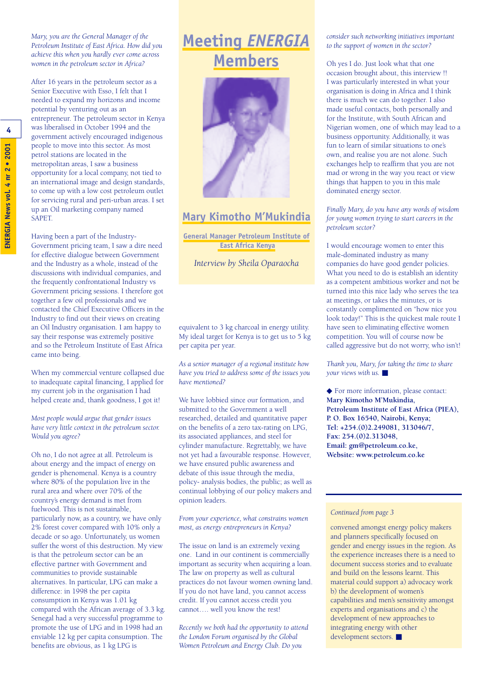*Mary, you are the General Manager of the Petroleum Institute of East Africa. How did you achieve this when you hardly ever come across women in the petroleum sector in Africa?*

After 16 years in the petroleum sector as a Senior Executive with Esso, I felt that I needed to expand my horizons and income potential by venturing out as an entrepreneur. The petroleum sector in Kenya was liberalised in October 1994 and the government actively encouraged indigenous people to move into this sector. As most petrol stations are located in the metropolitan areas, I saw a business opportunity for a local company, not tied to an international image and design standards, to come up with a low cost petroleum outlet for servicing rural and peri-urban areas. I set up an Oil marketing company named SAPET.

Having been a part of the Industry-Government pricing team, I saw a dire need for effective dialogue between Government and the Industry as a whole, instead of the discussions with individual companies, and the frequently confrontational Industry vs Government pricing sessions. I therefore got together a few oil professionals and we contacted the Chief Executive Officers in the Industry to find out their views on creating an Oil Industry organisation. I am happy to say their response was extremely positive and so the Petroleum Institute of East Africa came into being.

When my commercial venture collapsed due to inadequate capital financing, I applied for my current job in the organisation I had helped create and, thank goodness, I got it!

*Most people would argue that gender issues have very little context in the petroleum sector. Would you agree?*

Oh no, I do not agree at all. Petroleum is about energy and the impact of energy on gender is phenomenal. Kenya is a country where 80% of the population live in the rural area and where over 70% of the country's energy demand is met from fuelwood. This is not sustainable, particularly now, as a country, we have only 2% forest cover compared with 10% only a decade or so ago. Unfortunately, us women suffer the worst of this destruction. My view is that the petroleum sector can be an effective partner with Government and communities to provide sustainable alternatives. In particular, LPG can make a difference: in 1998 the per capita consumption in Kenya was 1.01 kg compared with the African average of 3.3 kg. Senegal had a very successful programme to promote the use of LPG and in 1998 had an enviable 12 kg per capita consumption. The benefits are obvious, as 1 kg LPG is

### **Meeting** *ENERGIA* **Members**



### **Mary Kimotho M'Mukindia**

**General Manager Petroleum Institute of East Africa Kenya**

*Interview by Sheila Oparaocha*

equivalent to 3 kg charcoal in energy utility. My ideal target for Kenya is to get us to 5 kg per capita per year.

*As a senior manager of a regional institute how have you tried to address some of the issues you have mentioned?*

We have lobbied since our formation, and submitted to the Government a well researched, detailed and quantitative paper on the benefits of a zero tax-rating on LPG, its associated appliances, and steel for cylinder manufacture. Regrettably, we have not yet had a favourable response. However, we have ensured public awareness and debate of this issue through the media, policy- analysis bodies, the public; as well as continual lobbying of our policy makers and opinion leaders.

*From your experience, what constrains women most, as energy entrepreneurs in Kenya?*

The issue on land is an extremely vexing one. Land in our continent is commercially important as security when acquiring a loan. The law on property as well as cultural practices do not favour women owning land. If you do not have land, you cannot access credit. If you cannot access credit you cannot…. well you know the rest!

*Recently we both had the opportunity to attend the London Forum organised by the Global Women Petroleum and Energy Club. Do you*

*consider such networking initiatives important to the support of women in the sector?*

Oh yes I do. Just look what that one occasion brought about, this interview !! I was particularly interested in what your organisation is doing in Africa and I think there is much we can do together. I also made useful contacts, both personally and for the Institute, with South African and Nigerian women, one of which may lead to a business opportunity. Additionally, it was fun to learn of similar situations to one's own, and realise you are not alone. Such exchanges help to reaffirm that you are not mad or wrong in the way you react or view things that happen to you in this male dominated energy sector.

*Finally Mary, do you have any words of wisdom for young women trying to start careers in the petroleum sector?*

I would encourage women to enter this male-dominated industry as many companies do have good gender policies. What you need to do is establish an identity as a competent ambitious worker and not be turned into this nice lady who serves the tea at meetings, or takes the minutes, or is constantly complimented on "how nice you look today!" This is the quickest male route I have seen to eliminating effective women competition. You will of course now be called aggressive but do not worry, who isn't!

*Thank you, Mary, for taking the time to share your views with us.* ■

◆ For more information, please contact: **Mary Kimotho M'Mukindia, Petroleum Institute of East Africa (PIEA), P. O. Box 16540, Nairobi, Kenya; Tel: +254.(0)2.249081, 313046/7, Fax: 254.(0)2.313048, Email: gm@petroleum.co.ke, Website: www.petroleum.co.ke**

#### *Continued from page 3*

convened amongst energy policy makers and planners specifically focused on gender and energy issues in the region. As the experience increases there is a need to document success stories and to evaluate and build on the lessons learnt. This material could support a) advocacy work b) the development of women's capabilities and men's sensitivity amongst experts and organisations and c) the development of new approaches to integrating energy with other development sectors. ■

**4**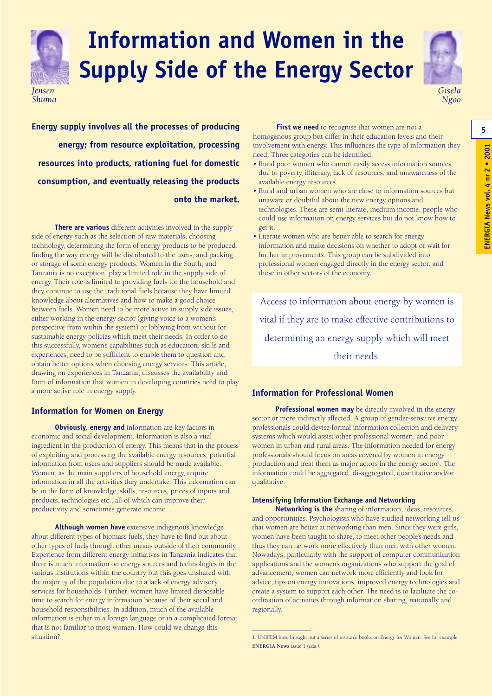

## **Information and Women in the Supply Side of the Energy Sector**



*Gisela Ngoo*

**Energy supply involves all the processes of producing First we need** to recognise that women are not a **1996** 5 **energy; from resource exploitation, processing resources into products, rationing fuel for domestic consumption, and eventually releasing the products onto the market.** 

**There are various** different activities involved in the supply side of energy such as the selection of raw materials, choosing technology, determining the form of energy products to be produced, finding the way energy will be distributed to the users, and packing or storage of some energy products. Women in the South, and Tanzania is no exception, play a limited role in the supply side of energy. Their role is limited to providing fuels for the household and they continue to use the traditional fuels because they have limited knowledge about alternatives and how to make a good choice between fuels. Women need to be more active in supply side issues, either working in the energy sector (giving voice to a women's perspective from within the system) or lobbying from without for sustainable energy policies which meet their needs. In order to do this successfully, women's capabilities such as education, skills and experiences, need to be sufficient to enable them to question and obtain better options when choosing energy services. This article, drawing on experiences in Tanzania, discusses the availability and form of information that women in developing countries need to play a more active role in energy supply.

#### **Information for Women on Energy**

**Obviously, energy and** information are key factors in economic and social development. Information is also a vital ingredient in the production of energy. This means that in the process of exploiting and processing the available energy resources, potential information from users and suppliers should be made available. Women, as the main suppliers of household energy, require information in all the activities they undertake. This information can be in the form of knowledge, skills, resources, prices of inputs and products, technologies etc., all of which can improve their productivity and sometimes generate income.

**Although women have** extensive indigenous knowledge about different types of biomass fuels, they have to find out about other types of fuels through other means outside of their community. Experience from different energy initiatives in Tanzania indicates that there is much information on energy sources and technologies in the various institutions within the country but this goes unshared with the majority of the population due to a lack of energy advisory services for households. Further, women have limited disposable time to search for energy information because of their social and household responsibilities. In addition, much of the available information is either in a foreign language or in a complicated format that is not familiar to most women. How could we change this situation?

**First we need** to recognise that women are not a homogenous group but differ in their education levels and their involvement with energy. This influences the type of information they need. Three categories can be identified:

- Rural poor women who cannot easily access information sources due to poverty, illiteracy, lack of resources, and unawareness of the available energy resources.
- Rural and urban women who are close to information sources but unaware or doubtful about the new energy options and technologies. These are semi-literate, medium income, people who could use information on energy services but do not know how to get it.
- Literate women who are better able to search for energy information and make decisions on whether to adopt or wait for further improvements. This group can be subdivided into professional women engaged directly in the energy sector, and those in other sectors of the economy.

Access to information about energy by women is vital if they are to make effective contributions to determining an energy supply which will meet their needs.

#### **Information for Professional Women**

**Professional women may** be directly involved in the energy sector or more indirectly affected. A group of gender-sensitive energy professionals could devise formal information collection and delivery systems which would assist other professional women, and poor women in urban and rural areas. The information needed for energy professionals should focus on areas covered by women in energy production and treat them as major actors in the energy sector<sup>1</sup>. The information could be aggregated, disaggregated, quantitative and/or qualitative.

#### **Intensifying Information Exchange and Networking**

**Networking is the** sharing of information, ideas, resources, and opportunities. Psychologists who have studied networking tell us that women are better at networking than men. Since they were girls, women have been taught to share, to meet other people's needs and thus they can network more effectively than men with other women. Nowadays, particularly with the support of computer communication applications and the women's organizations who support the goal of advancement, women can network more efficiently and look for advice, tips on energy innovations, improved energy technologies and create a system to support each other. The need is to facilitate the coordination of activities through information sharing, nationally and regionally.

<sup>1.</sup> UNIFEM have brought out a series of resource books on Energy for Women. See for example **ENERGIA News** issue 1 (eds.).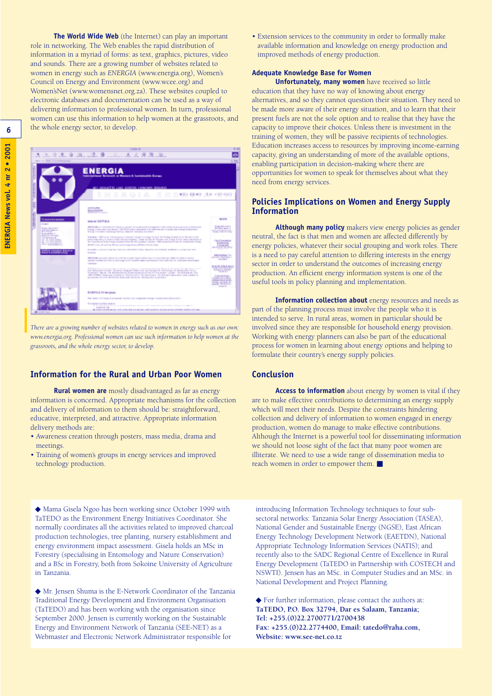**The World Wide Web** (the Internet) can play an important role in networking. The Web enables the rapid distribution of information in a myriad of forms: as text, graphics, pictures, video and sounds. There are a growing number of websites related to women in energy such as *ENERGIA* (www.energia.org), Women's Council on Energy and Environment (www.wcee.org) and Women'sNet (www.womensnet.org.za). These websites coupled to electronic databases and documentation can be used as a way of delivering information to professional women. In turn, professional women can use this information to help women at the grassroots, and the whole energy sector, to develop.

|                                                                                                                                                                                                                                         | <b>Dealer By All</b>                                                                                                                                                                                                                                                                                                                                                                                                                                                                                                                                                                                                                                                                                                                                                                                                                                                                                                                                                                                                                                                                                                                                                                                                                                                                                                                                                                                                                                                                               |                                                                                                                                                                                                                                                                                                                                                                    |
|-----------------------------------------------------------------------------------------------------------------------------------------------------------------------------------------------------------------------------------------|----------------------------------------------------------------------------------------------------------------------------------------------------------------------------------------------------------------------------------------------------------------------------------------------------------------------------------------------------------------------------------------------------------------------------------------------------------------------------------------------------------------------------------------------------------------------------------------------------------------------------------------------------------------------------------------------------------------------------------------------------------------------------------------------------------------------------------------------------------------------------------------------------------------------------------------------------------------------------------------------------------------------------------------------------------------------------------------------------------------------------------------------------------------------------------------------------------------------------------------------------------------------------------------------------------------------------------------------------------------------------------------------------------------------------------------------------------------------------------------------------|--------------------------------------------------------------------------------------------------------------------------------------------------------------------------------------------------------------------------------------------------------------------------------------------------------------------------------------------------------------------|
| 2222222<br>states I am Dange Automobile modeling                                                                                                                                                                                        | and Philadelphia                                                                                                                                                                                                                                                                                                                                                                                                                                                                                                                                                                                                                                                                                                                                                                                                                                                                                                                                                                                                                                                                                                                                                                                                                                                                                                                                                                                                                                                                                   |                                                                                                                                                                                                                                                                                                                                                                    |
|                                                                                                                                                                                                                                         | <b>ENERGIA</b><br><b>Telencifical Grimsk a Women &amp; Instalazité Comp</b><br>stick and planning statistics instant incorporation and<br>RGIA<br><b>AS IS WELL CENTER OF A FAR KING</b><br>œ<br>Œ<br>Œ<br>÷                                                                                                                                                                                                                                                                                                                                                                                                                                                                                                                                                                                                                                                                                                                                                                                                                                                                                                                                                                                                                                                                                                                                                                                                                                                                                       |                                                                                                                                                                                                                                                                                                                                                                    |
| to manufice directorypieces of<br><b>SLIBUT</b><br><b>Suburbuckets</b><br><b><i>PERSONAL</i></b><br><b>Romandon I</b><br><b>BALLY Student</b><br>Test Antiquiarrat<br>NO. OF SURVEYORD<br><b>BALLASH ESTADOS</b><br>For a plate for the | <b><i>SERVICES</i></b><br><b><i><u>Range Am Adolf</u></i></b><br><b>Manuel Sell Public</b><br>ENTREMENT WAS ARRESTED FOR A 21 YEAR OLD AND CONTRACT ON A 20 YEAR OLD A RISE OF CHARGE OF<br>a regular international assess. District along the constitution of a solar colour and a series of a<br>Thing's the sales and a specializer to constant a forest and a later<br>Robert 4: 1980 to an interest party of recent interest in cross to the construction distance on Microsoft Asset<br>state told all considered day thought data. These totals in Women and Energy Sound adult developer of<br>In the local of leading in advising Westercome I made this details from to believe thing.<br><b>BUAN LIN LA LEUTE BULL ANTIFACTELL IPTS PALIS AND</b><br>RESIDENT CASES OF THE RELEASE CHARGE CONTINUES. THE STATE OF STATE OF THE RELEASE CONTINUES.<br>Arias dra<br>EXCESS ALCOHOL: \$50.0 TO LINITED VIOLET PRODUCTS \$100 A DIRECTOR CONTROL BETWEEN DESIGN<br>exected also any time is seat represent a positive series any time topic date to probably determined<br><b>Literature</b><br>and the second contribution of the party of the second contribution of the state for the second contribution of<br>integral tends. To billion and from teacher the OT business, and I finded the telephone<br>THEY PUPPER BUSINESS AND COMPANY OF THE COLORADO PRODUCED THE REPORT SEEK CARD COMPANY.<br>Approached Convention Machine and Conclusion Council for Convenience Comprehensive | 14115<br>forest time.<br>and company to the second and<br><b>TACIMIAL</b><br><b>Cand Associates</b><br><b><i><u>Indicated</u></i></b><br>Constitutions<br><b>MONEY TO BOX</b><br><b>A Bruit &amp; All Inc.</b> This<br><b>March 1980 Model of</b><br>and the first<br>be receive as the 4 means<br><b>TANK</b><br><b>CALLING</b><br>continue as at one or made all |
| <b>Report Follows</b>                                                                                                                                                                                                                   | EHERALA Priminian<br>The relationship as a surgeon stand and congress emigrations and composed<br><b>Tourism Card Sea 4</b><br>A 1 holong-bit several and activitie are no act of a series and construction between a com-<br><b>American car</b><br>A 4 hole country writer and continued recognitions which may be private points original analysis and the                                                                                                                                                                                                                                                                                                                                                                                                                                                                                                                                                                                                                                                                                                                                                                                                                                                                                                                                                                                                                                                                                                                                      | <b>CONTRACTOR AND ADDRESS</b><br><b>Alberta P</b><br><b>Service</b>                                                                                                                                                                                                                                                                                                |

*There are a growing number of websites related to women in energy such as our own: www.energia.org. Professional women can use such information to help women at the grassroots, and the whole energy sector, to develop.*

#### **Information for the Rural and Urban Poor Women**

**Rural women are** mostly disadvantaged as far as energy information is concerned. Appropriate mechanisms for the collection and delivery of information to them should be: straightforward, educative, interpreted, and attractive. Appropriate information delivery methods are:

- Awareness creation through posters, mass media, drama and meetings.
- Training of women's groups in energy services and improved technology production.

• Extension services to the community in order to formally make available information and knowledge on energy production and improved methods of energy production.

#### **Adequate Knowledge Base for Women**

**Unfortunately, many women** have received so little education that they have no way of knowing about energy alternatives, and so they cannot question their situation. They need to be made more aware of their energy situation, and to learn that their present fuels are not the sole option and to realise that they have the capacity to improve their choices. Unless there is investment in the training of women, they will be passive recipients of technologies. Education increases access to resources by improving income-earning capacity, giving an understanding of more of the available options, enabling participation in decision-making where there are opportunities for women to speak for themselves about what they need from energy services.

#### **Policies Implications on Women and Energy Supply Information**

**Although many policy** makers view energy policies as gender neutral, the fact is that men and women are affected differently by energy policies, whatever their social grouping and work roles. There is a need to pay careful attention to differing interests in the energy sector in order to understand the outcomes of increasing energy production. An efficient energy information system is one of the useful tools in policy planning and implementation.

**Information collection about** energy resources and needs as part of the planning process must involve the people who it is intended to serve. In rural areas, women in particular should be involved since they are responsible for household energy provision. Working with energy planners can also be part of the educational process for women in learning about energy options and helping to formulate their country's energy supply policies.

#### **Conclusion**

**Access to information** about energy by women is vital if they are to make effective contributions to determining an energy supply which will meet their needs. Despite the constraints hindering collection and delivery of information to women engaged in energy production, women do manage to make effective contributions. Although the Internet is a powerful tool for disseminating information we should not loose sight of the fact that many poor women are illiterate. We need to use a wide range of dissemination media to reach women in order to empower them. ■

◆ Mama Gisela Ngoo has been working since October 1999 with TaTEDO as the Environment Energy Initiatives Coordinator. She normally coordinates all the activities related to improved charcoal production technologies, tree planting, nursery establishment and energy environment impact assessment. Gisela holds an MSc in Forestry (specialising in Entomology and Nature Conservation) and a BSc in Forestry, both from Sokoine University of Agriculture in Tanzania.

◆ Mr. Jensen Shuma is the E-Network Coordinator of the Tanzania Traditional Energy Development and Environment Organisation (TaTEDO) and has been working with the organisation since September 2000. Jensen is currently working on the Sustainable Energy and Environment Network of Tanzania (SEE-NET) as a Webmaster and Electronic Network Administrator responsible for

introducing Information Technology techniques to four subsectoral networks: Tanzania Solar Energy Association (TASEA), National Gender and Sustainable Energy (NGSE), East African Energy Technology Development Network (EAETDN), National Appropriate Technology Information Services (NATIS); and recently also to the SADC Regional Centre of Excellence in Rural Energy Development (TaTEDO in Partnership with COSTECH and NSWTI). Jensen has an MSc. in Computer Studies and an MSc. in National Development and Project Planning.

◆ For further information, please contact the authors at: **TaTEDO, P.O. Box 32794, Dar es Salaam, Tanzania; Tel: +255.(0)22.2700771/2700438 Fax: +255.(0)22.2774400, Email: tatedo@raha.com, Website: www.see-net.co.tz**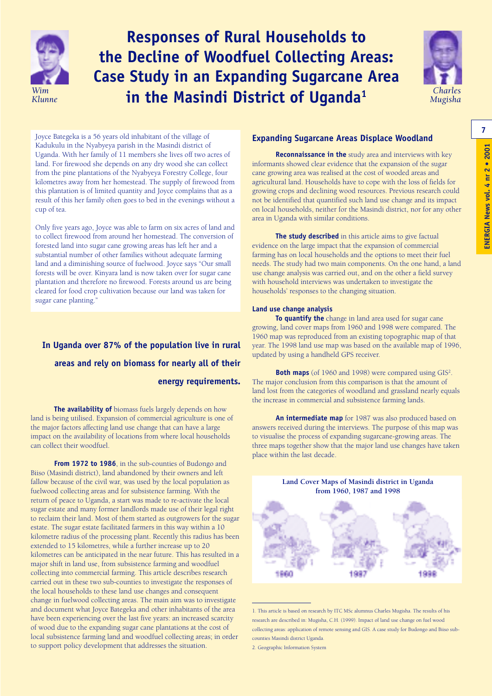

### **Responses of Rural Households to the Decline of Woodfuel Collecting Areas: Case Study in an Expanding Sugarcane Area in the Masindi District of Uganda** *Wim* **<sup>1</sup>** *Klunne*



Joyce Bategeka is a 56 years old inhabitant of the village of Kadukulu in the Nyabyeya parish in the Masindi district of Uganda. With her family of 11 members she lives off two acres of land. For firewood she depends on any dry wood she can collect from the pine plantations of the Nyabyeya Forestry College, four kilometres away from her homestead. The supply of firewood from this plantation is of limited quantity and Joyce complains that as a result of this her family often goes to bed in the evenings without a cup of tea.

Only five years ago, Joyce was able to farm on six acres of land and to collect firewood from around her homestead. The conversion of forested land into sugar cane growing areas has left her and a substantial number of other families without adequate farming land and a diminishing source of fuelwood. Joyce says "Our small forests will be over. Kinyara land is now taken over for sugar cane plantation and therefore no firewood. Forests around us are being cleared for food crop cultivation because our land was taken for sugar cane planting."

### **In Uganda over 87% of the population live in rural areas and rely on biomass for nearly all of their energy requirements.**

**The availability of** biomass fuels largely depends on how land is being utilised. Expansion of commercial agriculture is one of the major factors affecting land use change that can have a large impact on the availability of locations from where local households can collect their woodfuel.

From 1972 to 1986, in the sub-counties of Budongo and Biiso (Masindi district), land abandoned by their owners and left fallow because of the civil war, was used by the local population as fuelwood collecting areas and for subsistence farming. With the return of peace to Uganda, a start was made to re-activate the local sugar estate and many former landlords made use of their legal right to reclaim their land. Most of them started as outgrowers for the sugar estate. The sugar estate facilitated farmers in this way within a 10 kilometre radius of the processing plant. Recently this radius has been extended to 15 kilometres, while a further increase up to 20 kilometres can be anticipated in the near future. This has resulted in a major shift in land use, from subsistence farming and woodfuel collecting into commercial farming. This article describes research carried out in these two sub-counties to investigate the responses of the local households to these land use changes and consequent change in fuelwood collecting areas. The main aim was to investigate and document what Joyce Bategeka and other inhabitants of the area have been experiencing over the last five years: an increased scarcity of wood due to the expanding sugar cane plantations at the cost of local subsistence farming land and woodfuel collecting areas; in order to support policy development that addresses the situation.

#### **Expanding Sugarcane Areas Displace Woodland**

**Reconnaissance in the** study area and interviews with key informants showed clear evidence that the expansion of the sugar cane growing area was realised at the cost of wooded areas and agricultural land. Households have to cope with the loss of fields for growing crops and declining wood resources. Previous research could not be identified that quantified such land use change and its impact on local households, neither for the Masindi district, nor for any other area in Uganda with similar conditions.

**The study described** in this article aims to give factual evidence on the large impact that the expansion of commercial farming has on local households and the options to meet their fuel needs. The study had two main components. On the one hand, a land use change analysis was carried out, and on the other a field survey with household interviews was undertaken to investigate the households' responses to the changing situation.

#### **Land use change analysis**

**To quantify the** change in land area used for sugar cane growing, land cover maps from 1960 and 1998 were compared. The 1960 map was reproduced from an existing topographic map of that year. The 1998 land use map was based on the available map of 1996, updated by using a handheld GPS receiver.

**Both maps** (of 1960 and 1998) were compared using GIS<sup>2</sup>. The major conclusion from this comparison is that the amount of land lost from the categories of woodland and grassland nearly equals the increase in commercial and subsistence farming lands.

**An intermediate map** for 1987 was also produced based on answers received during the interviews. The purpose of this map was to visualise the process of expanding sugarcane-growing areas. The three maps together show that the major land use changes have taken place within the last decade.



<sup>1.</sup> This article is based on research by ITC MSc alumnus Charles Mugisha. The results of his research are described in: Mugisha, C.H. (1999). Impact of land use change on fuel wood collecting areas: application of remote sensing and GIS. A case study for Budongo and Biiso subcounties Masindi district Uganda.

**7**

<sup>2.</sup> Geographic Information System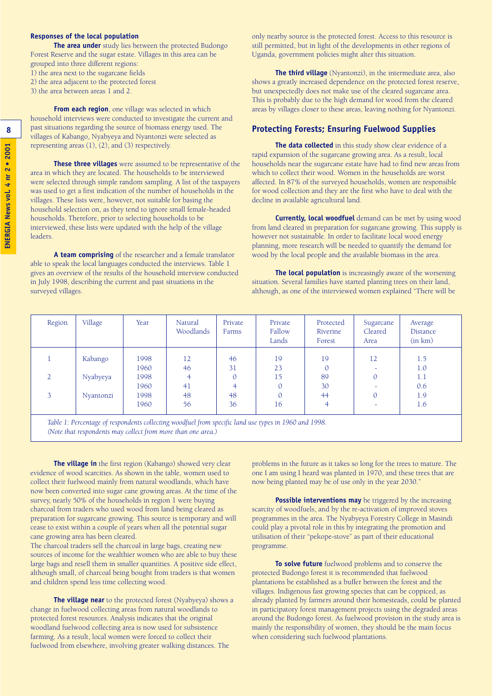#### **Responses of the local population**

**The area under** study lies between the protected Budongo Forest Reserve and the sugar estate. Villages in this area can be grouped into three different regions:

1) the area next to the sugarcane fields

2) the area adjacent to the protected forest

3) the area between areas 1 and 2.

**From each region**, one village was selected in which household interviews were conducted to investigate the current and past situations regarding the source of biomass energy used. The villages of Kabango, Nyabyeya and Nyantonzi were selected as representing areas (1), (2), and (3) respectively.

**These three villages** were assumed to be representative of the area in which they are located. The households to be interviewed were selected through simple random sampling. A list of the taxpayers was used to get a first indication of the number of households in the villages. These lists were, however, not suitable for basing the household selection on, as they tend to ignore small female-headed households. Therefore, prior to selecting households to be interviewed, these lists were updated with the help of the village leaders.

**A team comprising** of the researcher and a female translator able to speak the local languages conducted the interviews. Table 1 gives an overview of the results of the household interview conducted in July 1998, describing the current and past situations in the surveyed villages.

only nearby source is the protected forest. Access to this resource is still permitted, but in light of the developments in other regions of Uganda, government policies might alter this situation.

**The third village** (Nyantonzi), in the intermediate area, also shows a greatly increased dependence on the protected forest reserve, but unexpectedly does not make use of the cleared sugarcane area. This is probably due to the high demand for wood from the cleared areas by villages closer to these areas, leaving nothing for Nyantonzi.

#### **Protecting Forests; Ensuring Fuelwood Supplies**

**The data collected** in this study show clear evidence of a rapid expansion of the sugarcane growing area. As a result, local households near the sugarcane estate have had to find new areas from which to collect their wood. Women in the households are worst affected. In 87% of the surveyed households, women are responsible for wood collection and they are the first who have to deal with the decline in available agricultural land.

**Currently, local woodfuel** demand can be met by using wood from land cleared in preparation for sugarcane growing. This supply is however not sustainable. In order to facilitate local wood energy planning, more research will be needed to quantify the demand for wood by the local people and the available biomass in the area.

**The local population** is increasingly aware of the worsening situation. Several families have started planting trees on their land, although, as one of the interviewed women explained "There will be

| Region                                                                                               | Village   | Year | Natural<br>Woodlands | Private<br>Farms | Private<br>Fallow<br>Lands | Protected<br>Riverine<br>Forest | Sugarcane<br>Cleared<br>Area | Average<br>Distance<br>(in km) |  |
|------------------------------------------------------------------------------------------------------|-----------|------|----------------------|------------------|----------------------------|---------------------------------|------------------------------|--------------------------------|--|
|                                                                                                      | Kabango   | 1998 | 12                   | 46               | 19                         | 19                              | 12                           | 1.5                            |  |
|                                                                                                      |           | 1960 | 46                   | 31               | 23                         |                                 |                              | 1.0                            |  |
| $\mathcal{D}$                                                                                        | Nyabyeya  | 1998 |                      | 0                | 15                         | 89                              | $\overline{0}$               | 1.1                            |  |
|                                                                                                      |           | 1960 | 41                   |                  |                            | 30                              |                              | 0.6                            |  |
| 3                                                                                                    | Nyantonzi | 1998 | 48                   | 48               |                            | 44                              | 0                            | 1.9                            |  |
|                                                                                                      |           | 1960 | 56                   | 36               | 16                         | 4                               |                              | 1.6                            |  |
| Table 1: Percentage of respondents collecting woodfuel from specific land use types in 1960 and 1998 |           |      |                      |                  |                            |                                 |                              |                                |  |

*Table 1: Percentage of respondents collecting woodfuel from specific land use types in 1960 and 1998. (Note that respondents may collect from more than one area.)*

**The village in** the first region (Kabango) showed very clear evidence of wood scarcities. As shown in the table, women used to collect their fuelwood mainly from natural woodlands, which have now been converted into sugar cane growing areas. At the time of the survey, nearly 50% of the households in region 1 were buying charcoal from traders who used wood from land being cleared as preparation for sugarcane growing. This source is temporary and will cease to exist within a couple of years when all the potential sugar cane growing area has been cleared.

The charcoal traders sell the charcoal in large bags, creating new sources of income for the wealthier women who are able to buy these large bags and resell them in smaller quantities. A positive side effect, although small, of charcoal being bought from traders is that women and children spend less time collecting wood.

**The village near** to the protected forest (Nyabyeya) shows a change in fuelwood collecting areas from natural woodlands to protected forest resources. Analysis indicates that the original woodland fuelwood collecting area is now used for subsistence farming. As a result, local women were forced to collect their fuelwood from elsewhere, involving greater walking distances. The

problems in the future as it takes so long for the trees to mature. The one I am using I heard was planted in 1970, and these trees that are now being planted may be of use only in the year 2030."

**Possible interventions may** be triggered by the increasing scarcity of woodfuels, and by the re-activation of improved stoves programmes in the area. The Nyabyeya Forestry College in Masindi could play a pivotal role in this by integrating the promotion and utilisation of their "pekope-stove" as part of their educational programme.

**To solve future** fuelwood problems and to conserve the protected Budongo forest it is recommended that fuelwood plantations be established as a buffer between the forest and the villages. Indigenous fast growing species that can be coppiced, as already planted by farmers around their homesteads, could be planted in participatory forest management projects using the degraded areas around the Budongo forest. As fuelwood provision in the study area is mainly the responsibility of women, they should be the main focus when considering such fuelwood plantations.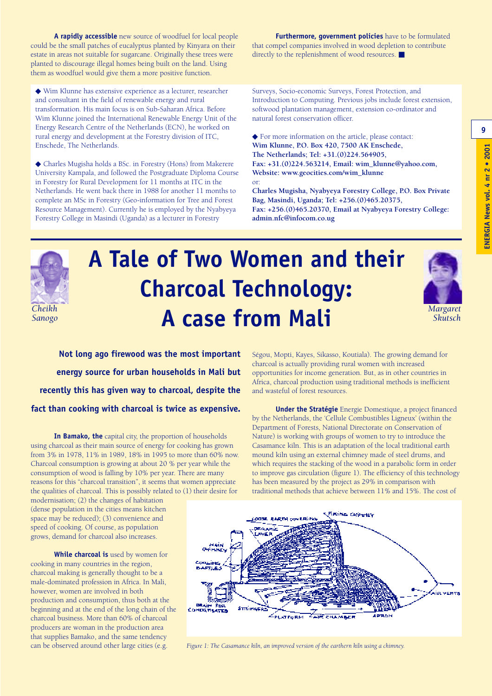**9**

**A rapidly accessible** new source of woodfuel for local people could be the small patches of eucalyptus planted by Kinyara on their estate in areas not suitable for sugarcane. Originally these trees were planted to discourage illegal homes being built on the land. Using them as woodfuel would give them a more positive function.

◆ Wim Klunne has extensive experience as a lecturer, researcher and consultant in the field of renewable energy and rural transformation. His main focus is on Sub-Saharan Africa. Before Wim Klunne joined the International Renewable Energy Unit of the Energy Research Centre of the Netherlands (ECN), he worked on rural energy and development at the Forestry division of ITC, Enschede, The Netherlands.

◆ Charles Mugisha holds a BSc. in Forestry (Hons) from Makerere University Kampala, and followed the Postgraduate Diploma Course in Forestry for Rural Development for 11 months at ITC in the Netherlands. He went back there in 1988 for another 11 months to complete an MSc in Forestry (Geo-information for Tree and Forest Resource Management). Currently he is employed by the Nyabyeya Forestry College in Masindi (Uganda) as a lecturer in Forestry

**Furthermore, government policies** have to be formulated that compel companies involved in wood depletion to contribute directly to the replenishment of wood resources. ■

Surveys, Socio-economic Surveys, Forest Protection, and Introduction to Computing. Previous jobs include forest extension, softwood plantation management, extension co-ordinator and natural forest conservation officer.

◆ For more information on the article, please contact: **Wim Klunne, P.O. Box 420, 7500 AK Enschede, The Netherlands; Tel: +31.(0)224.564905, Fax: +31.(0)224.563214, Email: wim\_klunne@yahoo.com, Website: www.geocities.com/wim\_klunne** or:

**Charles Mugisha, Nyabyeya Forestry College, P.O. Box Private Bag, Masindi, Uganda; Tel: +256.(0)465.20375, Fax: +256.(0)465.20370, Email at Nyabyeya Forestry College: admin.nfc@infocom.co.ug**



*Sanogo*

## **A Tale of Two Women and their Charcoal Technology: A case from Mali** *Cheikh*



*Margaret Skutsch*

**Not long ago firewood was the most important energy source for urban households in Mali but recently this has given way to charcoal, despite the fact than cooking with charcoal is twice as expensive.** 

**In Bamako, the** capital city, the proportion of households using charcoal as their main source of energy for cooking has grown from 3% in 1978, 11% in 1989, 18% in 1995 to more than 60% now. Charcoal consumption is growing at about 20 % per year while the consumption of wood is falling by 10% per year. There are many reasons for this "charcoal transition", it seems that women appreciate the qualities of charcoal. This is possibly related to (1) their desire for

modernisation; (2) the changes of habitation (dense population in the cities means kitchen space may be reduced); (3) convenience and speed of cooking. Of course, as population grows, demand for charcoal also increases.

**While charcoal is** used by women for cooking in many countries in the region, charcoal making is generally thought to be a male-dominated profession in Africa. In Mali, however, women are involved in both production and consumption, thus both at the beginning and at the end of the long chain of the charcoal business. More than 60% of charcoal producers are woman in the production area that supplies Bamako, and the same tendency can be observed around other large cities (e.g.

Ségou, Mopti, Kayes, Sikasso, Koutiala). The growing demand for charcoal is actually providing rural women with increased opportunities for income generation. But, as in other countries in Africa, charcoal production using traditional methods is inefficient and wasteful of forest resources.

**Under the Stratégie** Energie Domestique, a project financed by the Netherlands, the 'Cellule Combustibles Ligneux' (within the Department of Forests, National Directorate on Conservation of Nature) is working with groups of women to try to introduce the Casamance kiln. This is an adaptation of the local traditional earth mound kiln using an external chimney made of steel drums, and which requires the stacking of the wood in a parabolic form in order to improve gas circulation (figure 1). The efficiency of this technology has been measured by the project as 29% in comparison with traditional methods that achieve between 11% and 15%. The cost of



*Figure 1: The Casamance kiln, an improved version of the earthern kiln using a chimney.*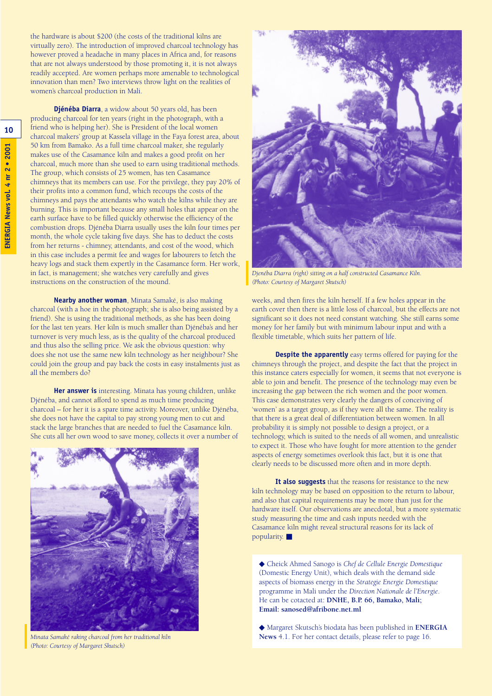the hardware is about \$200 (the costs of the traditional kilns are virtually zero). The introduction of improved charcoal technology has however proved a headache in many places in Africa and, for reasons that are not always understood by those promoting it, it is not always readily accepted. Are women perhaps more amenable to technological innovation than men? Two interviews throw light on the realities of women's charcoal production in Mali.

**Djénéba Diarra**, a widow about 50 years old, has been producing charcoal for ten years (right in the photograph, with a friend who is helping her). She is President of the local women charcoal makers' group at Kassela village in the Faya forest area, about 50 km from Bamako. As a full time charcoal maker, she regularly makes use of the Casamance kiln and makes a good profit on her charcoal, much more than she used to earn using traditional methods. The group, which consists of 25 women, has ten Casamance chimneys that its members can use. For the privilege, they pay 20% of their profits into a common fund, which recoups the costs of the chimneys and pays the attendants who watch the kilns while they are burning. This is important because any small holes that appear on the earth surface have to be filled quickly otherwise the efficiency of the combustion drops. Djénéba Diarra usually uses the kiln four times per month, the whole cycle taking five days. She has to deduct the costs from her returns - chimney, attendants, and cost of the wood, which in this case includes a permit fee and wages for labourers to fetch the heavy logs and stack them expertly in the Casamance form. Her work, in fact, is management; she watches very carefully and gives instructions on the construction of the mound.

**Nearby another woman**, Minata Samaké, is also making charcoal (with a hoe in the photograph; she is also being assisted by a friend). She is using the traditional methods, as she has been doing for the last ten years. Her kiln is much smaller than Djénéba's and her turnover is very much less, as is the quality of the charcoal produced and thus also the selling price. We ask the obvious question: why does she not use the same new kiln technology as her neighbour? She could join the group and pay back the costs in easy instalments just as all the members do?

**Her answer is** interesting. Minata has young children, unlike Djénéba, and cannot afford to spend as much time producing charcoal – for her it is a spare time activity. Moreover, unlike Djénéba, she does not have the capital to pay strong young men to cut and stack the large branches that are needed to fuel the Casamance kiln. She cuts all her own wood to save money, collects it over a number of



*Minata Samaké raking charcoal from her traditional kiln (Photo: Courtesy of Margaret Skutsch)* 



*Djenéba Diarra (right) sitting on a half constructed Casamance Kiln. (Photo: Courtesy of Margaret Skutsch)* 

weeks, and then fires the kiln herself. If a few holes appear in the earth cover then there is a little loss of charcoal, but the effects are not significant so it does not need constant watching. She still earns some money for her family but with minimum labour input and with a flexible timetable, which suits her pattern of life.

**Despite the apparently** easy terms offered for paying for the chimneys through the project, and despite the fact that the project in this instance caters especially for women, it seems that not everyone is able to join and benefit. The presence of the technology may even be increasing the gap between the rich women and the poor women. This case demonstrates very clearly the dangers of conceiving of 'women' as a target group, as if they were all the same. The reality is that there is a great deal of differentiation between women. In all probability it is simply not possible to design a project, or a technology, which is suited to the needs of all women, and unrealistic to expect it. Those who have fought for more attention to the gender aspects of energy sometimes overlook this fact, but it is one that clearly needs to be discussed more often and in more depth.

**It also suggests** that the reasons for resistance to the new kiln technology may be based on opposition to the return to labour, and also that capital requirements may be more than just for the hardware itself. Our observations are anecdotal, but a more systematic study measuring the time and cash inputs needed with the Casamance kiln might reveal structural reasons for its lack of popularity.

◆ Cheick Ahmed Sanogo is *Chef de Cellule Energie Domestique* (Domestic Energy Unit), which deals with the demand side aspects of biomass energy in the *Strategie Energie Domestique* programme in Mali under the *Direction Nationale de l'Energie*. He can be cotacted at: **DNHE, B.P. 66, Bamako, Mali; Email: sanosed@afribone.net.ml**

◆ Margaret Skutsch's biodata has been published in **ENERGIA News** 4.1. For her contact details, please refer to page 16.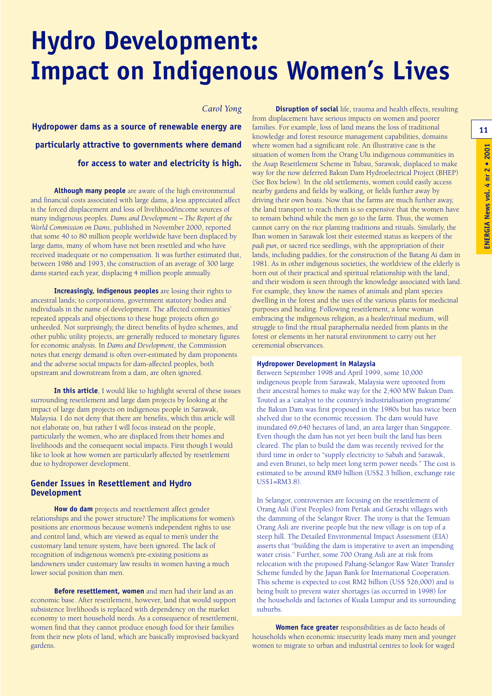# **Hydro Development: Impact on Indigenous Women's Lives**

#### *Carol Yong*

**Hydropower dams as a source of renewable energy are particularly attractive to governments where demand for access to water and electricity is high.**

**Although many people** are aware of the high environmental and financial costs associated with large dams, a less appreciated affect is the forced displacement and loss of livelihood/income sources of many indigenous peoples. *Dams and Development – The Report of the World Commission on Dams*, published in November 2000, reported that some 40 to 80 million people worldwide have been displaced by large dams, many of whom have not been resettled and who have received inadequate or no compensation. It was further estimated that, between 1986 and 1993, the construction of an average of 300 large dams started each year, displacing 4 million people annually.

**Increasingly, indigenous peoples** are losing their rights to ancestral lands; to corporations, government statutory bodies and individuals in the name of development. The affected communities' repeated appeals and objections to these huge projects often go unheeded. Not surprisingly, the direct benefits of hydro schemes, and other public utility projects, are generally reduced to monetary figures for economic analysis. In *Dams and Development*, the Commission notes that energy demand is often over-estimated by dam proponents and the adverse social impacts for dam-affected peoples, both upstream and downstream from a dam, are often ignored.

**In this article**, I would like to highlight several of these issues surrounding resettlement and large dam projects by looking at the impact of large dam projects on indigenous people in Sarawak, Malaysia. I do not deny that there are benefits, which this article will not elaborate on, but rather I will focus instead on the people, particularly the women, who are displaced from their homes and livelihoods and the consequent social impacts. First though I would like to look at how women are particularly affected by resettlement due to hydropower development.

#### **Gender Issues in Resettlement and Hydro Development**

**How do dam** projects and resettlement affect gender relationships and the power structure? The implications for women's positions are enormous because women's independent rights to use and control land, which are viewed as equal to men's under the customary land tenure system, have been ignored. The lack of recognition of indigenous women's pre-existing positions as landowners under customary law results in women having a much lower social position than men.

**Before resettlement, women** and men had their land as an economic base. After resettlement, however, land that would support subsistence livelihoods is replaced with dependency on the market economy to meet household needs. As a consequence of resettlement, women find that they cannot produce enough food for their families from their new plots of land, which are basically improvised backyard gardens.

**Disruption of social** life, trauma and health effects, resulting from displacement have serious impacts on women and poorer families. For example, loss of land means the loss of traditional knowledge and forest resource management capabilities, domains where women had a significant role. An illustrative case is the situation of women from the Orang Ulu indigenous communities in the Asap Resettlement Scheme in Tubau, Sarawak, displaced to make way for the now deferred Bakun Dam Hydroelectrical Project (BHEP) (See Box below). In the old settlements, women could easily access nearby gardens and fields by walking, or fields further away by driving their own boats. Now that the farms are much further away, the land transport to reach them is so expensive that the women have to remain behind while the men go to the farm. Thus, the women cannot carry on the rice planting traditions and rituals. Similarly, the Iban women in Sarawak lost their esteemed status as keepers of the *padi pun*, or sacred rice seedlings, with the appropriation of their lands, including paddies, for the construction of the Batang Ai dam in 1981. As in other indigenous societies, the worldview of the elderly is born out of their practical and spiritual relationship with the land, and their wisdom is seen through the knowledge associated with land. For example, they know the names of animals and plant species dwelling in the forest and the uses of the various plants for medicinal purposes and healing. Following resettlement, a lone woman embracing the indigenous religion, as a healer/ritual medium, will struggle to find the ritual paraphernalia needed from plants in the forest or elements in her natural environment to carry out her ceremonial observances.

#### **Hydropower Development in Malaysia**

Between September 1998 and April 1999, some 10,000 indigenous people from Sarawak, Malaysia were uprooted from their ancestral homes to make way for the 2,400 MW Bakun Dam. Touted as a 'catalyst to the country's industrialisation programme' the Bakun Dam was first proposed in the 1980s but has twice been shelved due to the economic recession. The dam would have inundated 69,640 hectares of land, an area larger than Singapore. Even though the dam has not yet been built the land has been cleared. The plan to build the dam was recently revived for the third time in order to "supply electricity to Sabah and Sarawak, and even Brunei, to help meet long term power needs." The cost is estimated to be around RM9 billion (US\$2.3 billion, exchange rate US\$1=RM3.8).

In Selangor, controversies are focusing on the resettlement of Orang Asli (First Peoples) from Pertak and Gerachi villages with the damming of the Selangor River. The irony is that the Temuan Orang Asli are riverine people but the new village is on top of a steep hill. The Detailed Environmental Impact Assessment (EIA) asserts that "building the dam is imperative to avert an impending water crisis." Further, some 700 Orang Asli are at risk from relocation with the proposed Pahang-Selangor Raw Water Transfer Scheme funded by the Japan Bank for International Cooperation. This scheme is expected to cost RM2 billion (US\$ 526,000) and is being built to prevent water shortages (as occurred in 1998) for the households and factories of Kuala Lumpur and its surrounding suburbs.

**Women face greater** responsibilities as de facto heads of households when economic insecurity leads many men and younger women to migrate to urban and industrial centres to look for waged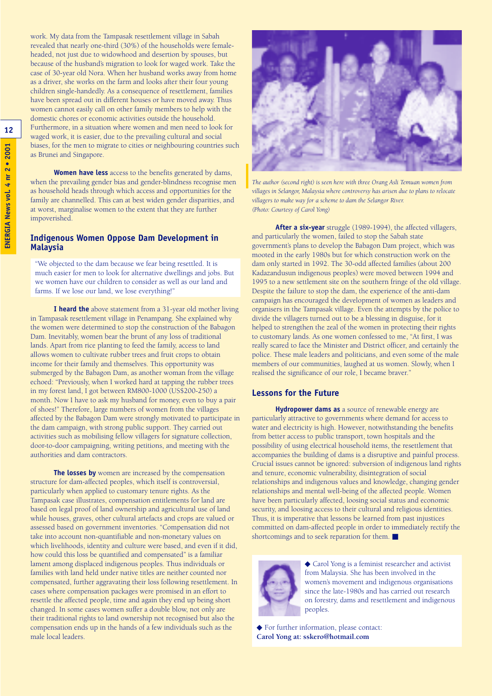work. My data from the Tampasak resettlement village in Sabah revealed that nearly one-third (30%) of the households were femaleheaded, not just due to widowhood and desertion by spouses, but because of the husband's migration to look for waged work. Take the case of 30-year old Nora. When her husband works away from home as a driver, she works on the farm and looks after their four young children single-handedly. As a consequence of resettlement, families have been spread out in different houses or have moved away. Thus women cannot easily call on other family members to help with the domestic chores or economic activities outside the household. Furthermore, in a situation where women and men need to look for waged work, it is easier, due to the prevailing cultural and social biases, for the men to migrate to cities or neighbouring countries such as Brunei and Singapore.

**Women have less** access to the benefits generated by dams, when the prevailing gender bias and gender-blindness recognise men as household heads through which access and opportunities for the family are channelled. This can at best widen gender disparities, and at worst, marginalise women to the extent that they are further impoverished.

#### **Indigenous Women Oppose Dam Development in Malaysia**

"We objected to the dam because we fear being resettled. It is much easier for men to look for alternative dwellings and jobs. But we women have our children to consider as well as our land and farms. If we lose our land, we lose everything!"

**I heard the** above statement from a 31-year old mother living in Tampasak resettlement village in Penampang. She explained why the women were determined to stop the construction of the Babagon Dam. Inevitably, women bear the brunt of any loss of traditional lands. Apart from rice planting to feed the family, access to land allows women to cultivate rubber trees and fruit crops to obtain income for their family and themselves. This opportunity was submerged by the Babagon Dam, as another woman from the village echoed: "Previously, when I worked hard at tapping the rubber trees in my forest land, I got between RM800-1000 (US\$200-250) a month. Now I have to ask my husband for money, even to buy a pair of shoes!" Therefore, large numbers of women from the villages affected by the Babagon Dam were strongly motivated to participate in the dam campaign, with strong public support. They carried out activities such as mobilising fellow villagers for signature collection, door-to-door campaigning, writing petitions, and meeting with the authorities and dam contractors.

**The losses by** women are increased by the compensation structure for dam-affected peoples, which itself is controversial, particularly when applied to customary tenure rights. As the Tampasak case illustrates, compensation entitlements for land are based on legal proof of land ownership and agricultural use of land while houses, graves, other cultural artefacts and crops are valued or assessed based on government inventories. "Compensation did not take into account non-quantifiable and non-monetary values on which livelihoods, identity and culture were based, and even if it did, how could this loss be quantified and compensated" is a familiar lament among displaced indigenous peoples. Thus individuals or families with land held under native titles are neither counted nor compensated, further aggravating their loss following resettlement. In cases where compensation packages were promised in an effort to resettle the affected people, time and again they end up being short changed. In some cases women suffer a double blow, not only are their traditional rights to land ownership not recognised but also the compensation ends up in the hands of a few individuals such as the male local leaders.



*The author (second right) is seen here with three Orang Asli Temuan women from villages in Selangor, Malaysia where controversy has arisen due to plans to relocate villagers to make way for a scheme to dam the Selangor River. (Photo: Courtesy of Carol Yong)*

**After a six-year** struggle (1989-1994), the affected villagers, and particularly the women, failed to stop the Sabah state government's plans to develop the Babagon Dam project, which was mooted in the early 1980s but for which construction work on the dam only started in 1992. The 30-odd affected families (about 200 Kadazandusun indigenous peoples) were moved between 1994 and 1995 to a new settlement site on the southern fringe of the old village. Despite the failure to stop the dam, the experience of the anti-dam campaign has encouraged the development of women as leaders and organisers in the Tampasak village. Even the attempts by the police to divide the villagers turned out to be a blessing in disguise, for it helped to strengthen the zeal of the women in protecting their rights to customary lands. As one women confessed to me, "At first, I was really scared to face the Minister and District officer, and certainly the police. These male leaders and politicians, and even some of the male members of our communities, laughed at us women. Slowly, when I realised the significance of our role, I became braver."

#### **Lessons for the Future**

**Hydropower dams as** a source of renewable energy are particularly attractive to governments where demand for access to water and electricity is high. However, notwithstanding the benefits from better access to public transport, town hospitals and the possibility of using electrical household items, the resettlement that accompanies the building of dams is a disruptive and painful process. Crucial issues cannot be ignored: subversion of indigenous land rights and tenure, economic vulnerability, disintegration of social relationships and indigenous values and knowledge, changing gender relationships and mental well-being of the affected people. Women have been particularly affected, loosing social status and economic security, and loosing access to their cultural and religious identities. Thus, it is imperative that lessons be learned from past injustices committed on dam-affected people in order to immediately rectify the shortcomings and to seek reparation for them. ■



◆ Carol Yong is a feminist researcher and activist from Malaysia. She has been involved in the women's movement and indigenous organisations since the late-1980s and has carried out research on forestry, dams and resettlement and indigenous peoples.

◆ For further information, please contact: **Carol Yong at: sskero@hotmail.com**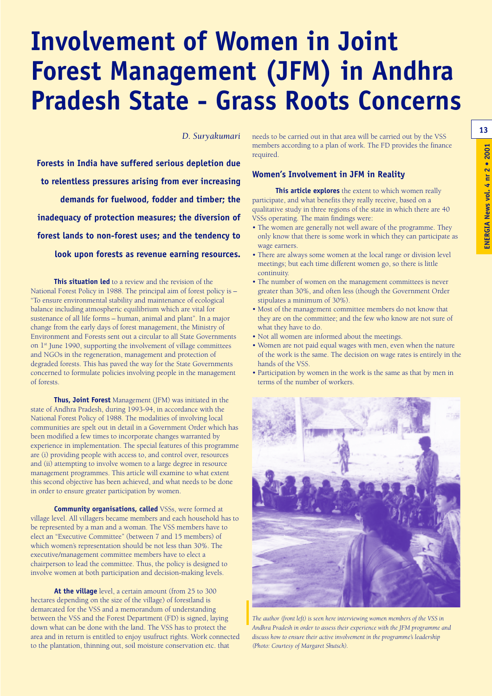## **Involvement of Women in Joint Forest Management (JFM) in Andhra Pradesh State - Grass Roots Concerns**

*D. Suryakumari*

**Forests in India have suffered serious depletion due to relentless pressures arising from ever increasing demands for fuelwood, fodder and timber; the inadequacy of protection measures; the diversion of forest lands to non-forest uses; and the tendency to look upon forests as revenue earning resources.**

**This situation led** to a review and the revision of the National Forest Policy in 1988. The principal aim of forest policy is – "To ensure environmental stability and maintenance of ecological balance including atmospheric equilibrium which are vital for sustenance of all life forms – human, animal and plant". In a major change from the early days of forest management, the Ministry of Environment and Forests sent out a circular to all State Governments on 1st June 1990, supporting the involvement of village committees and NGOs in the regeneration, management and protection of degraded forests. This has paved the way for the State Governments concerned to formulate policies involving people in the management of forests.

**Thus, Joint Forest** Management (JFM) was initiated in the state of Andhra Pradesh, during 1993-94, in accordance with the National Forest Policy of 1988. The modalities of involving local communities are spelt out in detail in a Government Order which has been modified a few times to incorporate changes warranted by experience in implementation. The special features of this programme are (i) providing people with access to, and control over, resources and (ii) attempting to involve women to a large degree in resource management programmes. This article will examine to what extent this second objective has been achieved, and what needs to be done in order to ensure greater participation by women.

**Community organisations, called** VSSs, were formed at village level. All villagers became members and each household has to be represented by a man and a woman. The VSS members have to elect an "Executive Committee" (between 7 and 15 members) of which women's representation should be not less than 30%. The executive/management committee members have to elect a chairperson to lead the committee. Thus, the policy is designed to involve women at both participation and decision-making levels.

**At the village** level, a certain amount (from 25 to 300 hectares depending on the size of the village) of forestland is demarcated for the VSS and a memorandum of understanding between the VSS and the Forest Department (FD) is signed, laying down what can be done with the land. The VSS has to protect the area and in return is entitled to enjoy usufruct rights. Work connected to the plantation, thinning out, soil moisture conservation etc. that

needs to be carried out in that area will be carried out by the VSS members according to a plan of work. The FD provides the finance required.

#### **Women's Involvement in JFM in Reality**

**This article explores** the extent to which women really participate, and what benefits they really receive, based on a qualitative study in three regions of the state in which there are 40 VSSs operating. The main findings were:

- The women are generally not well aware of the programme. They only know that there is some work in which they can participate as wage earners.
- There are always some women at the local range or division level meetings; but each time different women go, so there is little continuity.
- The number of women on the management committees is never greater than 30%, and often less (though the Government Order stipulates a minimum of 30%).
- Most of the management committee members do not know that they are on the committee; and the few who know are not sure of what they have to do.
- Not all women are informed about the meetings.
- Women are not paid equal wages with men, even when the nature of the work is the same. The decision on wage rates is entirely in the hands of the VSS.
- Participation by women in the work is the same as that by men in terms of the number of workers.



*The author (front left) is seen here interviewing women members of the VSS in Andhra Pradesh in order to assess their experience with the JFM programme and discuss how to ensure their active involvement in the programme's leadership (Photo: Courtesy of Margaret Skutsch).*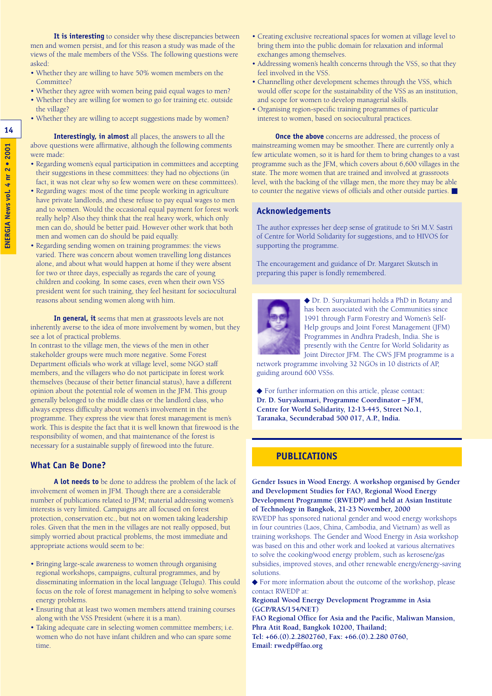**It is interesting** to consider why these discrepancies between men and women persist, and for this reason a study was made of the views of the male members of the VSSs. The following questions were asked:

- Whether they are willing to have 50% women members on the Committee?
- Whether they agree with women being paid equal wages to men?
- Whether they are willing for women to go for training etc. outside the village?
- Whether they are willing to accept suggestions made by women?

**Interestingly, in almost** all places, the answers to all the above questions were affirmative, although the following comments were made:

- Regarding women's equal participation in committees and accepting their suggestions in these committees: they had no objections (in fact, it was not clear why so few women were on these committees).
- Regarding wages: most of the time people working in agriculture have private landlords, and these refuse to pay equal wages to men and to women. Would the occasional equal payment for forest work really help? Also they think that the real heavy work, which only men can do, should be better paid. However other work that both men and women can do should be paid equally.
- Regarding sending women on training programmes: the views varied. There was concern about women travelling long distances alone, and about what would happen at home if they were absent for two or three days, especially as regards the care of young children and cooking. In some cases, even when their own VSS president went for such training, they feel hesitant for sociocultural reasons about sending women along with him.

**In general, it** seems that men at grassroots levels are not inherently averse to the idea of more involvement by women, but they see a lot of practical problems.

In contrast to the village men, the views of the men in other stakeholder groups were much more negative. Some Forest Department officials who work at village level, some NGO staff members, and the villagers who do not participate in forest work themselves (because of their better financial status), have a different opinion about the potential role of women in the JFM. This group generally belonged to the middle class or the landlord class, who always express difficulty about women's involvement in the programme. They express the view that forest management is men's work. This is despite the fact that it is well known that firewood is the responsibility of women, and that maintenance of the forest is necessary for a sustainable supply of firewood into the future.

#### **What Can Be Done?**

**A lot needs to** be done to address the problem of the lack of involvement of women in JFM. Though there are a considerable number of publications related to JFM; material addressing women's interests is very limited. Campaigns are all focused on forest protection, conservation etc., but not on women taking leadership roles. Given that the men in the villages are not really opposed, but simply worried about practical problems, the most immediate and appropriate actions would seem to be:

- Bringing large-scale awareness to women through organising regional workshops, campaigns, cultural programmes, and by disseminating information in the local language (Telugu). This could focus on the role of forest management in helping to solve women's energy problems.
- Ensuring that at least two women members attend training courses along with the VSS President (where it is a man).
- Taking adequate care in selecting women committee members; i.e. women who do not have infant children and who can spare some time.
- Creating exclusive recreational spaces for women at village level to bring them into the public domain for relaxation and informal exchanges among themselves.
- Addressing women's health concerns through the VSS, so that they feel involved in the VSS.
- Channelling other development schemes through the VSS, which would offer scope for the sustainability of the VSS as an institution, and scope for women to develop managerial skills.
- Organising region-specific training programmes of particular interest to women, based on sociocultural practices.

**Once the above** concerns are addressed, the process of mainstreaming women may be smoother. There are currently only a few articulate women, so it is hard for them to bring changes to a vast programme such as the JFM, which covers about 6,600 villages in the state. The more women that are trained and involved at grassroots level, with the backing of the village men, the more they may be able to counter the negative views of officials and other outside parties. ■

#### **Acknowledgements**

The author expresses her deep sense of gratitude to Sri M.V. Sastri of Centre for World Solidarity for suggestions, and to HIVOS for supporting the programme.

The encouragement and guidance of Dr. Margaret Skutsch in preparing this paper is fondly remembered.



◆ Dr. D. Suryakumari holds a PhD in Botany and has been associated with the Communities since 1991 through Farm Forestry and Women's Self-Help groups and Joint Forest Management (JFM) Programmes in Andhra Pradesh, India. She is presently with the Centre for World Solidarity as Joint Director JFM. The CWS JFM programme is a

network programme involving 32 NGOs in 10 districts of AP, guiding around 600 VSSs.

◆ For further information on this article, please contact: **Dr. D. Suryakumari, Programme Coordinator – JFM, Centre for World Solidarity, 12-13-445, Street No.1, Taranaka, Secunderabad 500 017, A.P., India.**

#### **PUBLICATIONS**

**Gender Issues in Wood Energy. A workshop organised by Gender and Development Studies for FAO, Regional Wood Energy Development Programme (RWEDP) and held at Asian Institute of Technology in Bangkok, 21-23 November, 2000**

RWEDP has sponsored national gender and wood energy workshops in four countries (Laos, China, Cambodia, and Vietnam) as well as training workshops. The Gender and Wood Energy in Asia workshop was based on this and other work and looked at various alternatives to solve the cooking/wood energy problem, such as kerosene/gas subsidies, improved stoves, and other renewable energy/energy-saving solutions.

◆ For more information about the outcome of the workshop, please contact RWEDP at:

**Regional Wood Energy Development Programme in Asia (GCP/RAS/154/NET)** 

**FAO Regional Office for Asia and the Pacific, Maliwan Mansion, Phra Atit Road, Bangkok 10200, Thailand;** 

**Tel: +66.(0).2.2802760, Fax: +66.(0).2.280 0760, Email: rwedp@fao.org**

**14**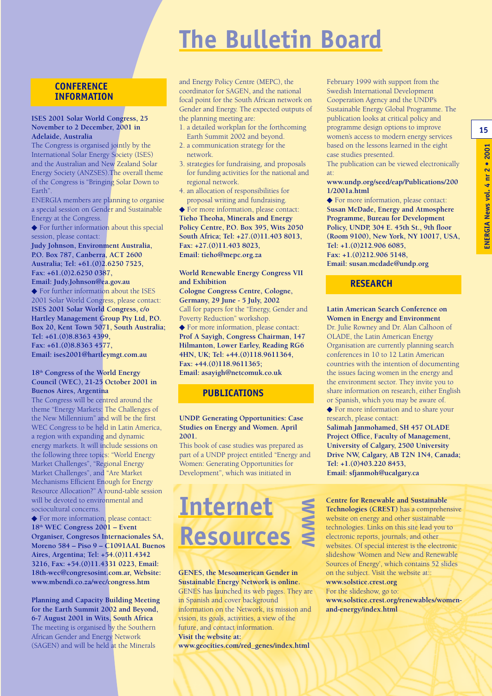## **The Bulletin Board**

#### **CONFERENCE INFORMATION**

#### **ISES 2001 Solar World Congress, 25 November to 2 December, 2001 in Adelaide, Australia**

The Congress is organised jointly by the International Solar Energy Society (ISES) and the Australian and New Zealand Solar Energy Society (ANZSES).The overall theme of the Congress is "Bringing Solar Down to Earth".

ENERGIA members are planning to organise a special session on Gender and Sustainable Energy at the Congress.

◆ For further information about this special session, please contact:

**Judy Johnson, Environment Australia, P.O. Box 787, Canberra, ACT 2600 Australia; Tel: +61.(0)2.6250 7525, Fax: +61.(0)2.6250 0387, Email: Judy.Johnson@ea.gov.au** ◆ For further information about the ISES 2001 Solar World Congress, please contact: **ISES 2001 Solar World Congress, c/o Hartley Management Group Pty Ltd, P.O. Box 20, Kent Town 5071, South Australia; Tel: +61.(0)8.8363 4399, Fax: +61.(0)8.8363 4577, Email: ises2001@hartleymgt.com.au**

#### **18th Congress of the World Energy Council (WEC), 21-25 October 2001 in Buenos Aires, Argentina**

The Congress will be centred around the theme "Energy Markets: The Challenges of the New Millennium" and will be the first WEC Congress to be held in Latin America, a region with expanding and dynamic energy markets. It will include sessions on the following three topics: "World Energy Market Challenges", "Regional Energy Market Challenges", and "Are Market Mechanisms Efficient Enough for Energy Resource Allocation?" A round-table session will be devoted to environmental and sociocultural concerns.

◆ For more information, please contact: **18th WEC Congress 2001 – Event Organiser, Congresos Internacionales SA, Moreno 584 – Piso 9 – C1091AAL Buenos Aires, Argentina; Tel: +54.(0)11.4342 3216, Fax: +54.(0)11.4331 0223, Email: 18th-wec@congresosint.com.ar, Website: www.mbendi.co.za/wec/congress.htm**

**Planning and Capacity Building Meeting for the Earth Summit 2002 and Beyond, 6-7 August 2001 in Wits, South Africa** The meeting is organised by the Southern African Gender and Energy Network (SAGEN) and will be held at the Minerals

and Energy Policy Centre (MEPC), the coordinator for SAGEN, and the national focal point for the South African network on Gender and Energy. The expected outputs of the planning meeting are:

- 1. a detailed workplan for the forthcoming Earth Summit 2002 and beyond.
- 2. a communication strategy for the network.
- 3. strategies for fundraising, and proposals for funding activities for the national and regional network.
- 4. an allocation of responsibilities for proposal writing and fundraising.

◆ For more information, please contact: **Tieho Theoha, Minerals and Energy Policy Centre, P.O. Box 395, Wits 2050 South Africa; Tel: +27.(0)11.403 8013, Fax: +27.(0)11.403 8023, Email: tieho@mepc.org.za**

**World Renewable Energy Congress VII and Exhibition Cologne Congress Centre, Cologne,**

**Germany, 29 June - 5 July, 2002** Call for papers for the "Energy, Gender and Poverty Reduction" workshop. ◆ For more information, please contact: **Prof A Sayigh, Congress Chairman, 147 Hilmanton, Lower Earley, Reading RG6**

**4HN, UK; Tel: +44.(0)118.9611364, Fax: +44.(0)118.9611365;** 

**Email: asayigh@netcomuk.co.uk** 

#### **PUBLICATIONS**

#### **UNDP. Generating Opportunities: Case Studies on Energy and Women. April 2001.**

This book of case studies was prepared as part of a UNDP project entitled "Energy and Women: Generating Opportunities for Development", which was initiated in

### **Internet Resources WWW**

**GENES, the Mesoamerican Gender in Sustainable Energy Network is online.** GENES has launched its web pages. They are in Spanish and cover background information on the Network, its mission and vision, its goals, activities, a view of the future, and contact information. **Visit the website at: www.geocities.com/red\_genes/index.html**

February 1999 with support from the Swedish International Development Cooperation Agency and the UNDP's Sustainable Energy Global Programme. The publication looks at critical policy and programme design options to improve women's access to modern energy services based on the lessons learned in the eight case studies presented.

The publication can be viewed electronically at:

**www.undp.org/seed/eap/Publications/200 1/2001a.html**

◆ For more information, please contact: **Susan McDade, Energy and Atmosphere Programme, Bureau for Development Policy, UNDP, 304 E. 45th St., 9th floor (Room 9100), New York, NY 10017, USA, Tel: +1.(0)212.906 6085, Fax: +1.(0)212.906 5148, Email: susan.mcdade@undp.org** 

### **RESEARCH**

**Latin American Search Conference on Women in Energy and Environment**

Dr. Julie Rowney and Dr. Alan Calhoon of OLADE, the Latin American Energy Organisation are currently planning search conferences in 10 to 12 Latin American countries with the intention of documenting the issues facing women in the energy and the environment sector. They invite you to share information on research, either English or Spanish, which you may be aware of. ◆ For more information and to share your

research, please contact: **Salimah Janmohamed, SH 457 OLADE Project Office, Faculty of Management, University of Calgary, 2500 University Drive NW, Calgary, AB T2N 1N4, Canada; Tel: +1.(0)403.220 8453, Email: sfjanmoh@ucalgary.ca**

**Centre for Renewable and Sustainable Technologies (CREST)** has a comprehensive website on energy and other sustainable technologies. Links on this site lead you to electronic reports, journals, and other websites. Of special interest is the electronic slideshow 'Women and New and Renewable Sources of Energy', which contains 52 slides on the subject. Visit the website at:: **www.solstice.crest.org** For the slideshow, go to: **www.solstice.crest.org/renewables/womenand-energy/index.html**